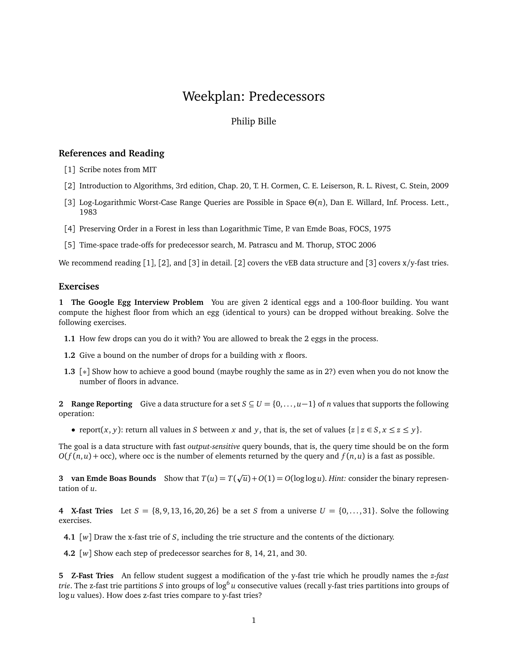## Weekplan: Predecessors

## Philip Bille

## **References and Reading**

- [1] Scribe notes from MIT
- [2] Introduction to Algorithms, 3rd edition, Chap. 20, T. H. Cormen, C. E. Leiserson, R. L. Rivest, C. Stein, 2009
- [3] Log-Logarithmic Worst-Case Range Queries are Possible in Space *Θ*(*n*), Dan E. Willard, Inf. Process. Lett., 1983
- [4] Preserving Order in a Forest in less than Logarithmic Time, P. van Emde Boas, FOCS, 1975
- [5] Time-space trade-offs for predecessor search, M. Patrascu and M. Thorup, STOC 2006

We recommend reading [1], [2], and [3] in detail. [2] covers the vEB data structure and [3] covers  $x/y$ -fast tries.

## **Exercises**

**1 The Google Egg Interview Problem** You are given 2 identical eggs and a 100-floor building. You want compute the highest floor from which an egg (identical to yours) can be dropped without breaking. Solve the following exercises.

- **1.1** How few drops can you do it with? You are allowed to break the 2 eggs in the process.
- **1.2** Give a bound on the number of drops for a building with *x* floors.
- **1.3** [∗] Show how to achieve a good bound (maybe roughly the same as in 2?) even when you do not know the number of floors in advance.

**2** Range Reporting Give a data structure for a set  $S \subseteq U = \{0, \ldots, u-1\}$  of *n* values that supports the following operation:

• report $(x, y)$ : return all values in *S* between *x* and *y*, that is, the set of values  $\{z \mid z \in S, x \leq z \leq y\}$ .

The goal is a data structure with fast *output-sensitive* query bounds, that is, the query time should be on the form  $O(f(n, u) + occ)$ , where occ is the number of elements returned by the query and  $f(n, u)$  is a fast as possible.

**3** van Emde Boas Bounds Show that  $T(u) = T$ p  $\overline{u}$ ) + *O*(1) = *O*(log log *u*). *Hint:* consider the binary representation of *u*.

**4** X-fast Tries Let  $S = \{8, 9, 13, 16, 20, 26\}$  be a set *S* from a universe  $U = \{0, \ldots, 31\}$ . Solve the following exercises.

**4.1** [*w*] Draw the x-fast trie of *S*, including the trie structure and the contents of the dictionary.

**4.2** [*w*] Show each step of predecessor searches for 8, 14, 21, and 30.

**5 Z-Fast Tries** An fellow student suggest a modification of the y-fast trie which he proudly names the *z-fast trie.* The z-fast trie partitions  $S$  into groups of log<sup>6</sup>u consecutive values (recall y-fast tries partitions into groups of log *u* values). How does z-fast tries compare to y-fast tries?